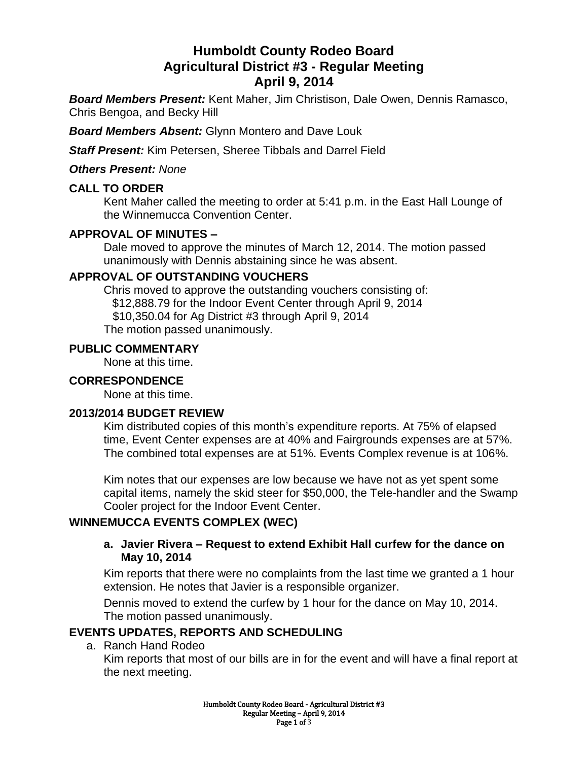# **Humboldt County Rodeo Board Agricultural District #3 - Regular Meeting April 9, 2014**

*Board Members Present:* Kent Maher, Jim Christison, Dale Owen, Dennis Ramasco, Chris Bengoa, and Becky Hill

*Board Members Absent:* Glynn Montero and Dave Louk

*Staff Present:* Kim Petersen, Sheree Tibbals and Darrel Field

### *Others Present: None*

# **CALL TO ORDER**

Kent Maher called the meeting to order at 5:41 p.m. in the East Hall Lounge of the Winnemucca Convention Center.

### **APPROVAL OF MINUTES –**

Dale moved to approve the minutes of March 12, 2014. The motion passed unanimously with Dennis abstaining since he was absent.

### **APPROVAL OF OUTSTANDING VOUCHERS**

Chris moved to approve the outstanding vouchers consisting of: \$12,888.79 for the Indoor Event Center through April 9, 2014 \$10,350.04 for Ag District #3 through April 9, 2014 The motion passed unanimously.

#### **PUBLIC COMMENTARY**

None at this time.

#### **CORRESPONDENCE**

None at this time.

### **2013/2014 BUDGET REVIEW**

Kim distributed copies of this month's expenditure reports. At 75% of elapsed time, Event Center expenses are at 40% and Fairgrounds expenses are at 57%. The combined total expenses are at 51%. Events Complex revenue is at 106%.

Kim notes that our expenses are low because we have not as yet spent some capital items, namely the skid steer for \$50,000, the Tele-handler and the Swamp Cooler project for the Indoor Event Center.

# **WINNEMUCCA EVENTS COMPLEX (WEC)**

#### **a. Javier Rivera – Request to extend Exhibit Hall curfew for the dance on May 10, 2014**

Kim reports that there were no complaints from the last time we granted a 1 hour extension. He notes that Javier is a responsible organizer.

Dennis moved to extend the curfew by 1 hour for the dance on May 10, 2014. The motion passed unanimously.

# **EVENTS UPDATES, REPORTS AND SCHEDULING**

#### a. Ranch Hand Rodeo

Kim reports that most of our bills are in for the event and will have a final report at the next meeting.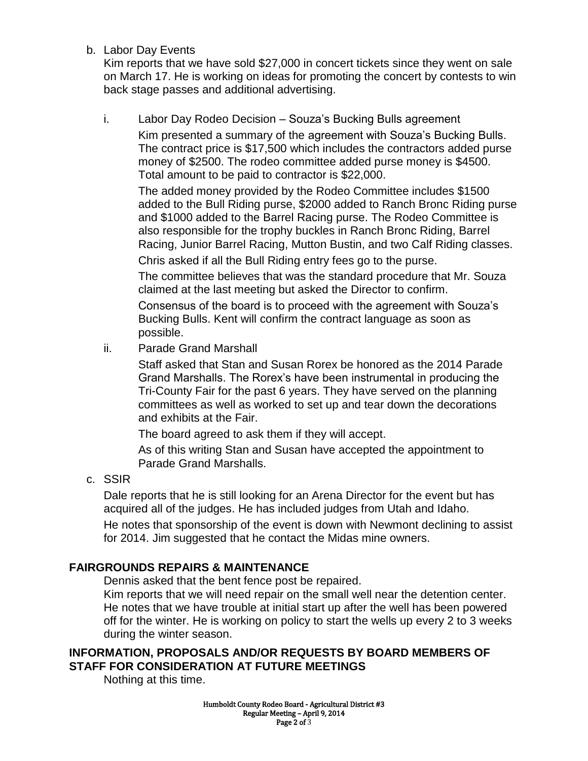b. Labor Day Events

Kim reports that we have sold \$27,000 in concert tickets since they went on sale on March 17. He is working on ideas for promoting the concert by contests to win back stage passes and additional advertising.

i. Labor Day Rodeo Decision – Souza's Bucking Bulls agreement Kim presented a summary of the agreement with Souza's Bucking Bulls. The contract price is \$17,500 which includes the contractors added purse money of \$2500. The rodeo committee added purse money is \$4500. Total amount to be paid to contractor is \$22,000.

The added money provided by the Rodeo Committee includes \$1500 added to the Bull Riding purse, \$2000 added to Ranch Bronc Riding purse and \$1000 added to the Barrel Racing purse. The Rodeo Committee is also responsible for the trophy buckles in Ranch Bronc Riding, Barrel Racing, Junior Barrel Racing, Mutton Bustin, and two Calf Riding classes.

Chris asked if all the Bull Riding entry fees go to the purse.

The committee believes that was the standard procedure that Mr. Souza claimed at the last meeting but asked the Director to confirm.

Consensus of the board is to proceed with the agreement with Souza's Bucking Bulls. Kent will confirm the contract language as soon as possible.

ii. Parade Grand Marshall

Staff asked that Stan and Susan Rorex be honored as the 2014 Parade Grand Marshalls. The Rorex's have been instrumental in producing the Tri-County Fair for the past 6 years. They have served on the planning committees as well as worked to set up and tear down the decorations and exhibits at the Fair.

The board agreed to ask them if they will accept.

As of this writing Stan and Susan have accepted the appointment to Parade Grand Marshalls.

c. SSIR

Dale reports that he is still looking for an Arena Director for the event but has acquired all of the judges. He has included judges from Utah and Idaho.

He notes that sponsorship of the event is down with Newmont declining to assist for 2014. Jim suggested that he contact the Midas mine owners.

# **FAIRGROUNDS REPAIRS & MAINTENANCE**

Dennis asked that the bent fence post be repaired.

Kim reports that we will need repair on the small well near the detention center. He notes that we have trouble at initial start up after the well has been powered off for the winter. He is working on policy to start the wells up every 2 to 3 weeks during the winter season.

# **INFORMATION, PROPOSALS AND/OR REQUESTS BY BOARD MEMBERS OF STAFF FOR CONSIDERATION AT FUTURE MEETINGS**

Nothing at this time.